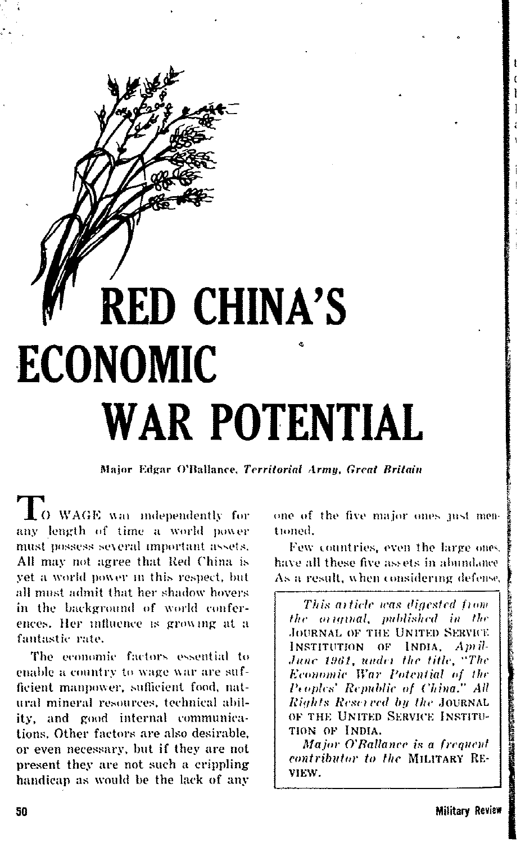# **RED CHINA'S ECONOMIC WAR POTENTIAL**

Major Edgar O'Ballance, Territorial Armu, Great Britain

O WAGE was independently for any length of time a world power must possess several important assets. All may not agree that Red China is vet a world nower in this respect, but all must admit that her shadow hovers in the background of world conferences. Her influence is growing at a fantastic rate.

The economic factors essential to enable a country to wage war are sufficient mannower, sufficient food, natural mineral resources, technical ability, and good internal communications. Other factors are also desirable, or even necessary, but if they are not present they are not such a crippling handicap as would be the lack of any one of the five major ones just mentioned.

Few countries, even the large ones. have all these five assets in abundance As a result, when considering defense.

This article was digested from the original, published in the **JOURNAL OF THE UNITED SERVICE** INSTITUTION OF INDIA. Amil-June 1961, under the title, "The Economic War Potential of the Peoples' Republic of China." All Rights Reserved by the JOURNAL OF THE UNITED SERVICE INSTITU-TION OF INDIA.

Major O'Ballance is a frequent contributor to the MILITARY RE-VIEW.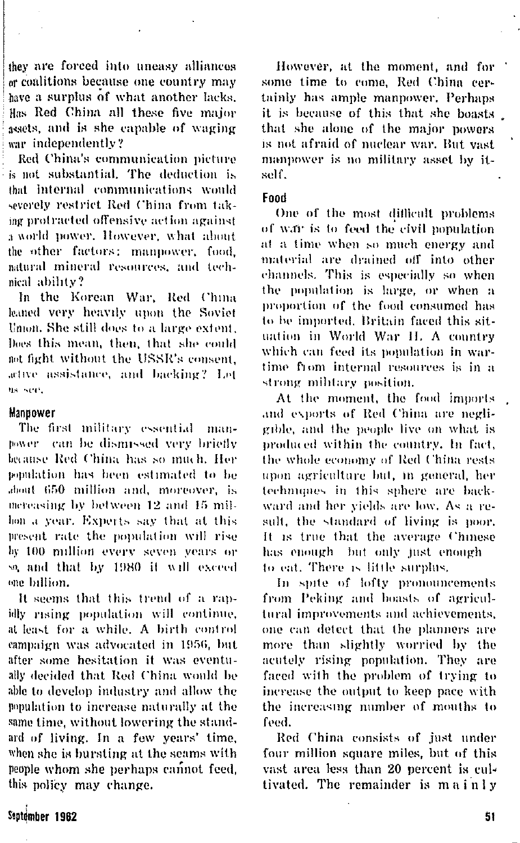they are forced into uneasy alliances or coalitions because one country may have a surplus of what another lacks. Has Red China all these five major assets, and is she capable of waging war indenendently?

Red China's communication picture is not substantial. The deduction is that internal communications would severely restrict Red China from taking protracted offensive action against a world nower. However, what about the other factors: mannower, food. astural mineral resources, and technical ability?

In the Korean War, Red China leaned very heavily upon the Soviet Union, She still does to a large extent. Does this mean, then, that she could aot fight without the USSR's consent. active assistance, and backing? Let us see.

## Mannower

The first military essential manpower can be dismissed very briefly because Red China has so much. Her soudation has been estimated to be about 650 million and, moreover, is mereasing by between 12 and 15 milhon a year. Experts say that at this present rate the population will rise by 100 million every seven years or so, and that by 1980 it will exceed one billion.

It seems that this trend of a rapidly rising population will continue. at least for a while. A birth control campaign was advocated in 1956, but after some hesitation it was eventually decided that Red China would be able to develop industry and allow the population to increase naturally at the same time, without lowering the standard of living. In a few years' time, when she is bursting at the seams with people whom she perhaps cannot feed. this policy may change.

However, at the moment, and for some time to come. Red China certainly has ample mannower. Perhaps it is because of this that she boasts that she alone of the major powers is not afraid of nuclear war. But vast. mannower is no military asset by itsel f

## **Food**

One of the most difficult problems of war is to feed the civil nonulation at a time when so much energy and material are drained off into other channels. This is especially so when the population is large, or when a proportion of the food consumed has to be imported. Britain faced this situation in World War II. A country which can feed its population in wartime from internal resources is in a strong military position.

At the moment, the food imports and exports of Red China are negligible, and the people live on what is produced within the country. In fact, the whole economy of Red China rests upon agriculture but, in general, her techniques in this sphere are backward and her yields are low. As a result, the standard of living is poor. It is true that the average Chinese has enough but only just enough to eat. There is little surplus,

In spite of lofty pronouncements from Peking and boasts of agricultural improvements and achievements, one can detect that the planners are more than slightly worried by the acutely rising population. They are faced with the problem of trying to increase the output to keep pace with the increasing number of mouths to feed.

Red China consists of just under four million square miles, but of this vast area less than 20 percent is cultivated. The remainder is mainly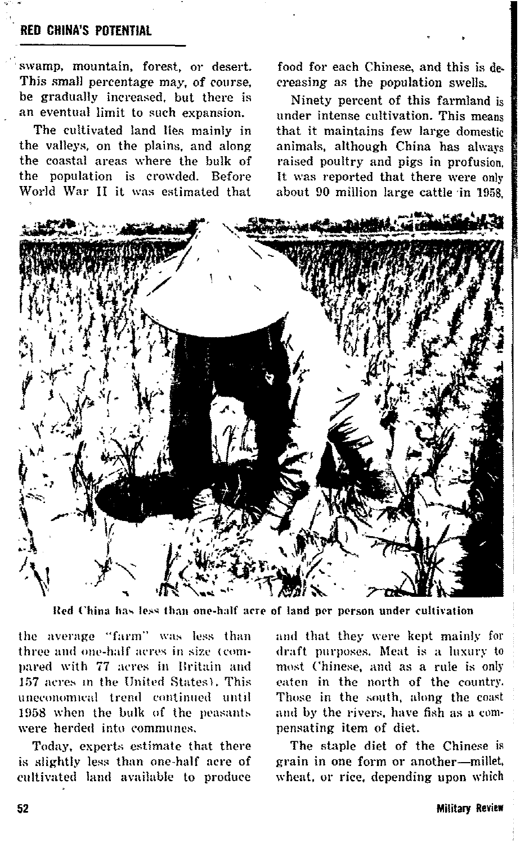# **RED CHINA'S POTENTIAL**

swamp, mountain, forest, or desert. This small percentage may, of course, be gradually increased, but there is an eventual limit to such expansion.

The cultivated land lies mainly in the valleys, on the plains, and along the coastal areas where the bulk of the population is crowded. Before World War II it was estimated that

food for each Chinese, and this is decreasing as the population swells.

Ninety percent of this farmland is under intense cultivation. This means that it maintains few large domestic animals, although China has always raised poultry and pigs in profusion. It was reported that there were only about 90 million large cattle in 1958.



Red China has less than one-half acre of land per person under cultivation

the average "farm" was less than three and one-half acres in size (compared with 77 acres in Britain and 157 acres in the United States), This uneconomical trend continued until 1958 when the bulk of the peasants were herded into communes.

Today, experts estimate that there is slightly less than one-half acre of cultivated land available to produce

and that they were kept mainly for draft purposes. Meat is a luxury to most Chinese, and as a rule is only eaten in the north of the country. Those in the south, along the coast and by the rivers, have fish as a compensating item of diet.

The staple diet of the Chinese is grain in one form or another-millet, wheat, or rice, depending upon which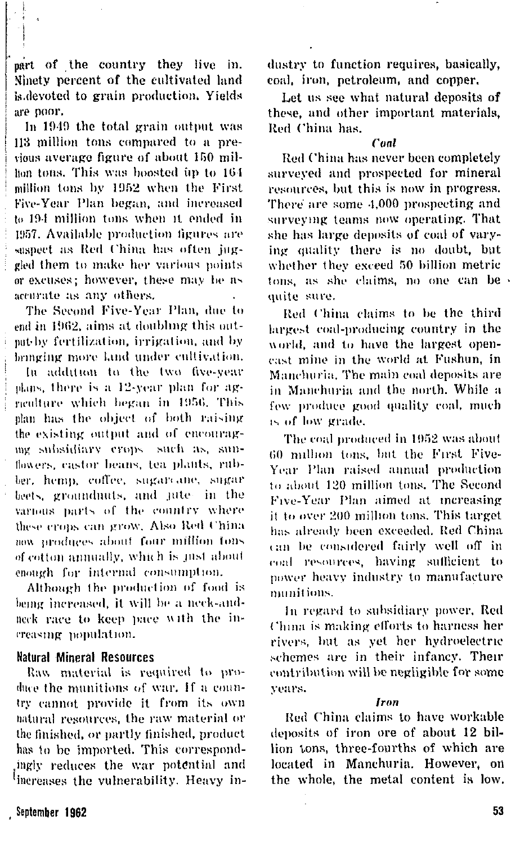part of the country they live in. Ninety percent of the cultivated land is devoted to grain production. Yields are poor.

In 1949 the total grain output was 113 million tons compared to a previous average figure of about 150 milhon tons. This was boosted in to 164 million tons by 1952 when the First Five-Year Plan began, and increased to 194 million tons when it ended in 1957. Available production figures are saspect as Red China has often juggled them to make her various points or excuses: however, these may be as accurate as any others.

The Second Five-Year Plan, due to end in 1962, aims at doubling this outpat-by fertilization, irrigation, and by beinging more land under cultivation.

In addition to the two five-year plans, there is a 12-year plan for agneulture which began in 1956. This plan has the object of both raising the existing output and of encouragmg subsidiary erops such as, sunflowers, castor beans, tea plants, rubber, hemp, coffee, sugarcane, sugar beets, groundnuts, and jute- in the various parts of the country where these crops can grow. Also Red China now produces about four million tons of cotton annually, which is just about enough for internal consumption.

Although the production of food is being increased, it will be a neck-andneck race to keep pace with the increasing nonulation.

# **Natural Mineral Resources**

Raw material is required to produce the munitions of war. If a country cannot provide it from its own natural resources, the raw material or the finished, or partly finished, product has to be imported. This correspondingly reduces the war potential and increases the vulnerability. Heavy industry to function requires, basically, coal, iron, petroleum, and copper,

Let us see what natural deposits of these, and other important materials. Red China has.

#### Cool

Red China has never been completely surveyed and prospected for mineral resources, but this is now in progress. There are some 4,000 prospecting and surveying teams now operating. That she has large deposits of coal of varying quality there is no doubt, but whether they exceed 50 billion metric tons, as she claims, no one can be quite sure.

Red China claims to be the third largest coal-producing country in the world, and to have the largest opencast mine in the world at Fushun, in Manchuria. The main coal deposits are in Manchuria and the north. While a few produce good quality coal, much is of low grade.

The coal produced in 1952 was about 60 million tons, but the First Five-Year Plan raised annual production to about 120 million tons. The Second Five-Year Plan aimed at increasing it to over 200 million tons. This target has already been exceeded. Red China can be considered fairly well off in coal resources, having sufficient to nower heavy industry to manufacture *munitions* 

In regard to subsidiary power, Red China is making efforts to harness her rivers, but as yet her hydroelectric schemes are in their infancy. Their contribution will be negligible for some vears.

#### Iron

Red China claims to have workable deposits of iron ore of about 12 billion tons, three-fourths of which are located in Manchuria. However, on the whole, the metal content is low.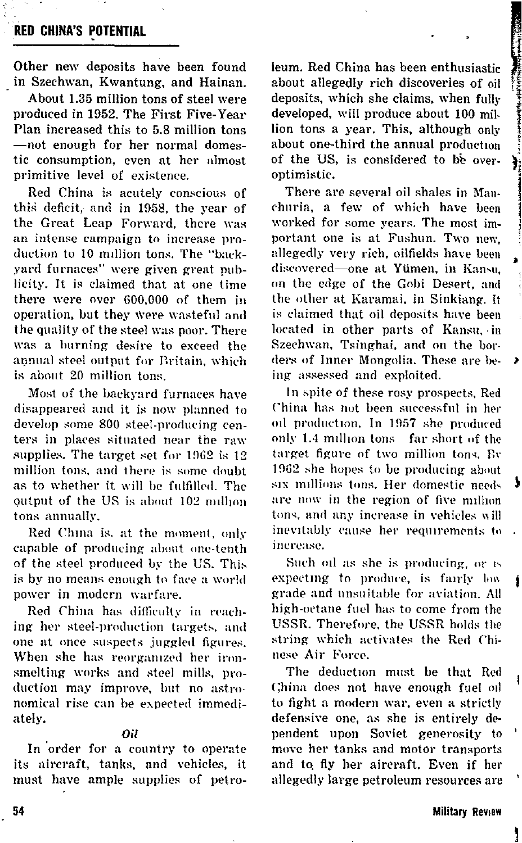**RED CHINA'S POTENTIAL** 

Other new deposits have been found in Szechwan, Kwantung, and Hainan.

About 1.35 million tons of steel were produced in 1952. The First Five-Year Plan increased this to 5.8 million tons -not enough for her normal domestic consumption, even at her almost primitive level of existence.

Red China is acutely conscious of this deficit, and in 1958, the year of the Great Leap Forward, there was an intense campaign to increase production to 10 million tons. The "backvard furnaces" were given great publicity. It is claimed that at one time there were over 600,000 of them in operation, but they were wasteful and the quality of the steel was noor. There was a burning desire to exceed the annual steel output for Britain, which is about 20 million tons.

Most of the backyard furnaces have disappeared and it is now planned to develop some 800 steel-producing centers in places situated near the raw supplies. The target set for 1962 is 12 million tons, and there is some doubt as to whether it will be fulfilled. The output of the US is about 102 million tons annually.

Red China is, at the moment, only capable of producing about one-tenth of the steel produced by the US. This is by no means enough to face a world power in modern warfare.

Red China has difficulty in reaching her steel-production targets, and one at once suspects juggled figures. When she has reorganized her ironsmelting works and steel mills, production may improve, but no astronomical rise can be expected immediately.

#### Ωil

In order for a country to operate its aircraft, tanks, and vehicles, it must have ample supplies of petroleum. Red China has been enthusiastic about allegedly rich discoveries of oil deposits, which she claims, when fully developed, will produce about 100 million tons a year. This, although only about one-third the annual production of the US, is considered to be overoptimistic.

١

١

There are several oil shales in Manchuria, a few of which have been worked for some years. The most important one is at Fushun. Two new. allegedly very rich, oilfields have been discovered-one at Yümen, in Kansu. on the edge of the Gobi Desert, and the other at Karamai, in Sinkiang. It is claimed that oil deposits have been located in other parts of Kansu, in Szechwan, Tsinghai, and on the borders of Inner Mongolia. These are being assessed and exploited.

In spite of these rosy prospects, Red China has not been successful in her oil production. In 1957 she produced only 1.4 million tons far short of the target figure of two million tons. By 1962 she hopes to be producing about six millions tons. Her domestic needs are now in the region of five million tons, and any increase in vehicles will inevitably cause her requirements to increase.

Such oil as she is producing, or is expecting to produce, is fairly low grade and unsuitable for aviation. All high-octane fuel has to come from the USSR. Therefore, the USSR holds the string which activates the Red Chinese Air Force.

The deduction must be that Red China does not have enough fuel oil to fight a modern war, even a strictly defensive one, as she is entirely dependent upon Soviet generosity to move her tanks and motor transports and to fly her aircraft. Even if her allegedly large petroleum resources are

54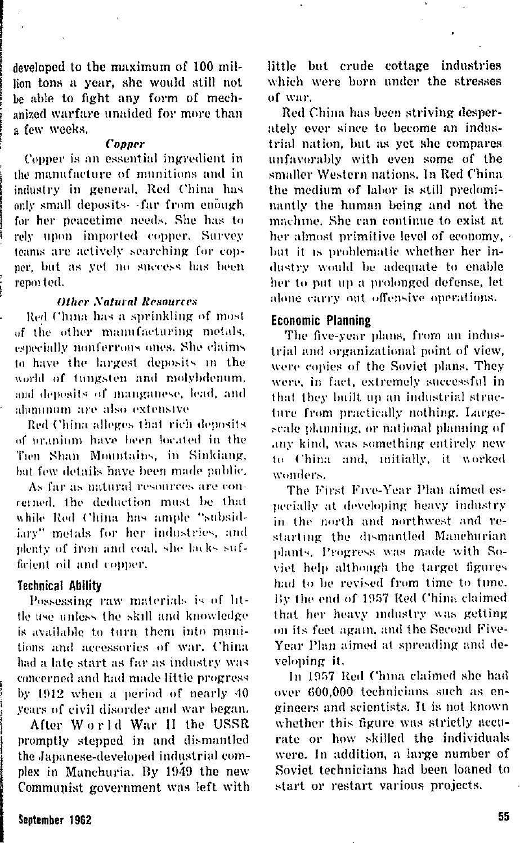developed to the maximum of 100 million tons a year, she would still not be able to fight any form of mechanized warfare unaided for more than a few weeks.

#### Conner

Conner is an essential incredient in the manufacture of munitions and in industry in general. Red China has only small demosits. far from enough for her nearetime needs. She has to rely upon imported copper. Survey teams are actively searching for conner, but as yet no success has been reported.

## **Other Natural Resources**

Red China has a sprinkling of most of the other manufacturing metals. especially nonferrous ones. She claims to have the largest deposits in the world of tungsten and molybdenum, and deposits of manganese, lead, and aluminum are also extensive

Red China alleges that rich deposits of oranium have been located in the Tion Shan Mountains, in Sinkiang, but few details have been made public.

As far as natural resources are concerned the deduction must be that while Red China has ample "subsidiary" metals for her industries, and plenty of iron and coal, she lacks sufficient oil and comer.

## **Technical Ability**

Possessing raw materials is of little use unless the skill and knowledge is available to turn them into munitions and accessories of war. China had a late start as far as industry was concerned and had made little progress by 1912 when a period of nearly 40 years of civil disorder and war began.

After World War II the USSR promptly stepped in and dismantled the Japanese-developed industrial complex in Manchuria. By 1949 the new Communist government was left with little but crude cottage industries which were born under the stresses of war.

Red China has been striving desperately ever since to become an industrial nation, but as yet she compares unfavorably with even some of the smaller Western nations. In Red China the medium of labor is still predominantly the human being and not the machine. She can continue to exist at her almost primitive level of economy but it is problematic whether her industry would be adequate to enable her to put up a prolonged defense. let alone carry out offensive operations.

## **Economic Planning**

The five-year plans, from an industrial and organizational point of view. were copies of the Soviet plans. They were, in fact, extremely successful in that they built no an industrial structure from practically nothing. Largescale planning, or national planning of any kind, was something entirely new to China and mitially, it worked wonders.

The First Five-Year Plan aimed esnecially at developing heavy industry in the north and northwest and restarting the dismantled Manchurian plants. Progress was made with Soviet help although the target figures had to be revised from time to time. By the end of 1957 Red China claimed that her heavy industry was getting on its feet again, and the Second Five-Year Plan aimed at spreading and develoning it.

In 1957 Red China claimed she had over 600.000 technicians such as engineers and scientists. It is not known whether this figure was strictly accurate or how skilled the individuals were. In addition, a large number of Soviet technicians had been loaned to start or restart various projects.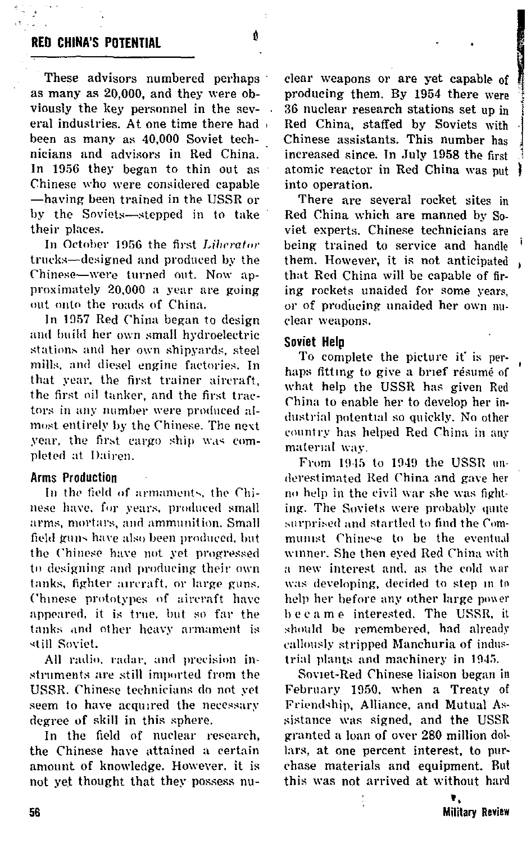# **RED CHINA'S POTENTIAL**

These advisors numbered perhaps as many as 20,000, and they were obviously the key personnel in the sevl, eral industries. At one time there had been as many as 40,000 Soviet technicians and advisors in Red China. In 1956 they began to thin out as Chinese who were considered capable -having been trained in the USSR or by the Soviets-stepped in to take their places.

In October 1956 the first Liberator trucks-designed and produced by the Chinese-were turned out. Now approximately 20,000 a year are going out onto the roads of China.

In 1957 Red China began to design and build her own small hydroelectric stations and her own shipvards, steel mills, and diesel engine factories. In that year, the first trainer aircraft. the first oil tanker, and the first tractors in any number were produced almost entirely by the Chinese. The next year, the first cargo ship was completed at Dairen.

## **Arms Production**

In the field of armaments, the Chinese have, for years, produced small arms, mortars, and ammunition. Small field guns have also been produced, but the Chinese have not yet progressed to designing and producing their own tanks, fighter aircraft, or large guns. Chinese prototypes of aircraft have appeared, it is true, but so far the tanks and other heavy armament is still Soviet.

All radio, radar, and precision instruments are still imported from the USSR. Chinese technicians do not yet seem to have acquired the necessary degree of skill in this sphere.

In the field of nuclear research, the Chinese have attained a certain amount of knowledge. However, it is not yet thought that they possess nuclear weapons or are yet capable of producing them. By 1954 there were 36 nuclear research stations set un in Red China, staffed by Soviets with Chinese assistants. This number has increased since. In July 1958 the first atomic reactor in Red China was nut into operation.

There are several rocket sites in Red China which are manned by Soviet experts. Chinese technicians are being trained to service and handle them. However, it is not anticipated. that Red China will be capable of firing rockets unaided for some years, or of producing unaided her own nuclear weapons.

## Soviet Hela

To complete the picture it' is perhaps fitting to give a brief résumé of what help the USSR has given Red China to enable her to develop her industrial potential so quickly. No other country has helped Red China in any material way.

From 1945 to 1949 the USSR underestimated Red China and gave her no help in the civil war she was fighting. The Soviets were probably onte surprised and startled to find the Communist Chinese to be the eventual winner. She then eyed Red China with a new interest and, as the cold war was developing, decided to step in to help her before any other large power became interested. The USSR, it should be remembered, had already callously stripped Manchuria of industrial plants and machinery in 1945.

Soviet-Red Chinese liaison began in February 1950, when a Treaty of Friendship, Alliance, and Mutual Assistance was signed, and the USSR granted a loan of over 280 million dollars, at one percent interest, to purchase materials and equipment. But this was not arrived at without hard

> ۷. **Military Review**